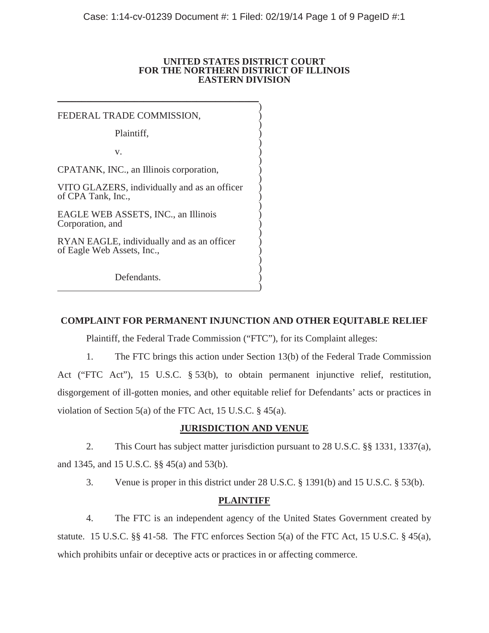### **UNITED STATES DISTRICT COURT FOR THE NORTHERN DISTRICT OF ILLINOIS EASTERN DIVISION**

 $\sum_{i=1}^{n}$ 

 $\sum_{i=1}^{n}$ 

 $\sum_{i=1}^{n}$ 

 $\sum_{i=1}^{n}$ 

 $\sum_{i=1}^{n}$ 

 $\sum_{i=1}^{n}$ 

 $\sum_{i=1}^{n}$ 

 $\sum_{i=1}^{n}$ 

 $\overline{\phantom{a}}$ FEDERAL TRADE COMMISSION,

Plaintiff, )

 $\mathbf{v}$ .  $\qquad \qquad \qquad$  )

CPATANK, INC., an Illinois corporation, )

VITO GLAZERS, individually and as an officer ) of CPA Tank, Inc.,

EAGLE WEB ASSETS, INC., an Illinois ) Corporation, and )

RYAN EAGLE, individually and as an officer of Eagle Web Assets, Inc., )  $\overline{\phantom{a}}$ 

Defendants.

# **COMPLAINT FOR PERMANENT INJUNCTION AND OTHER EQUITABLE RELIEF**

Plaintiff, the Federal Trade Commission ("FTC"), for its Complaint alleges:

1. The FTC brings this action under Section 13(b) of the Federal Trade Commission Act ("FTC Act"), 15 U.S.C. § 53(b), to obtain permanent injunctive relief, restitution, disgorgement of ill-gotten monies, and other equitable relief for Defendants' acts or practices in violation of Section 5(a) of the FTC Act, 15 U.S.C. § 45(a).

# **JURISDICTION AND VENUE**

2. This Court has subject matter jurisdiction pursuant to 28 U.S.C. §§ 1331, 1337(a), and 1345, and 15 U.S.C. §§ 45(a) and 53(b).

3. Venue is proper in this district under 28 U.S.C. § 1391(b) and 15 U.S.C. § 53(b).

# **PLAINTIFF**

4. The FTC is an independent agency of the United States Government created by statute. 15 U.S.C. §§ 41*-*58. The FTC enforces Section 5(a) of the FTC Act, 15 U.S.C. § 45(a), which prohibits unfair or deceptive acts or practices in or affecting commerce.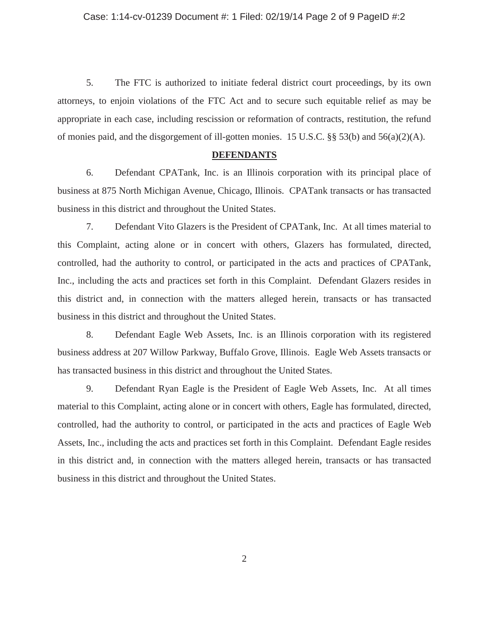5. The FTC is authorized to initiate federal district court proceedings, by its own attorneys, to enjoin violations of the FTC Act and to secure such equitable relief as may be appropriate in each case, including rescission or reformation of contracts, restitution, the refund of monies paid, and the disgorgement of ill-gotten monies. 15 U.S.C. §§ 53(b) and 56(a)(2)(A).

### **DEFENDANTS**

6. Defendant CPATank, Inc. is an Illinois corporation with its principal place of business at 875 North Michigan Avenue, Chicago, Illinois. CPATank transacts or has transacted business in this district and throughout the United States.

7. Defendant Vito Glazers is the President of CPATank, Inc. At all times material to this Complaint, acting alone or in concert with others, Glazers has formulated, directed, controlled, had the authority to control, or participated in the acts and practices of CPATank, Inc., including the acts and practices set forth in this Complaint. Defendant Glazers resides in this district and, in connection with the matters alleged herein, transacts or has transacted business in this district and throughout the United States.

8. Defendant Eagle Web Assets, Inc. is an Illinois corporation with its registered business address at 207 Willow Parkway, Buffalo Grove, Illinois. Eagle Web Assets transacts or has transacted business in this district and throughout the United States.

9. Defendant Ryan Eagle is the President of Eagle Web Assets, Inc. At all times material to this Complaint, acting alone or in concert with others, Eagle has formulated, directed, controlled, had the authority to control, or participated in the acts and practices of Eagle Web Assets, Inc., including the acts and practices set forth in this Complaint. Defendant Eagle resides in this district and, in connection with the matters alleged herein, transacts or has transacted business in this district and throughout the United States.

2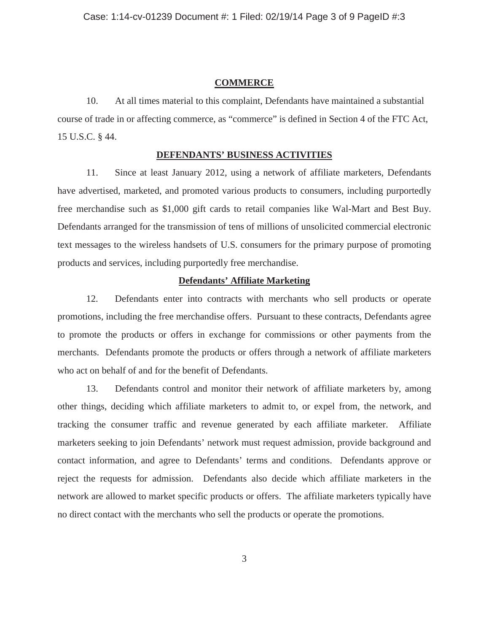### **COMMERCE**

10. At all times material to this complaint, Defendants have maintained a substantial course of trade in or affecting commerce, as "commerce" is defined in Section 4 of the FTC Act, 15 U.S.C. § 44.

## **DEFENDANTS' BUSINESS ACTIVITIES**

11. Since at least January 2012, using a network of affiliate marketers, Defendants have advertised, marketed, and promoted various products to consumers, including purportedly free merchandise such as \$1,000 gift cards to retail companies like Wal-Mart and Best Buy. Defendants arranged for the transmission of tens of millions of unsolicited commercial electronic text messages to the wireless handsets of U.S. consumers for the primary purpose of promoting products and services, including purportedly free merchandise.

## **Defendants' Affiliate Marketing**

12. Defendants enter into contracts with merchants who sell products or operate promotions, including the free merchandise offers. Pursuant to these contracts, Defendants agree to promote the products or offers in exchange for commissions or other payments from the merchants. Defendants promote the products or offers through a network of affiliate marketers who act on behalf of and for the benefit of Defendants.

13. Defendants control and monitor their network of affiliate marketers by, among other things, deciding which affiliate marketers to admit to, or expel from, the network, and tracking the consumer traffic and revenue generated by each affiliate marketer. Affiliate marketers seeking to join Defendants' network must request admission, provide background and contact information, and agree to Defendants' terms and conditions. Defendants approve or reject the requests for admission. Defendants also decide which affiliate marketers in the network are allowed to market specific products or offers. The affiliate marketers typically have no direct contact with the merchants who sell the products or operate the promotions.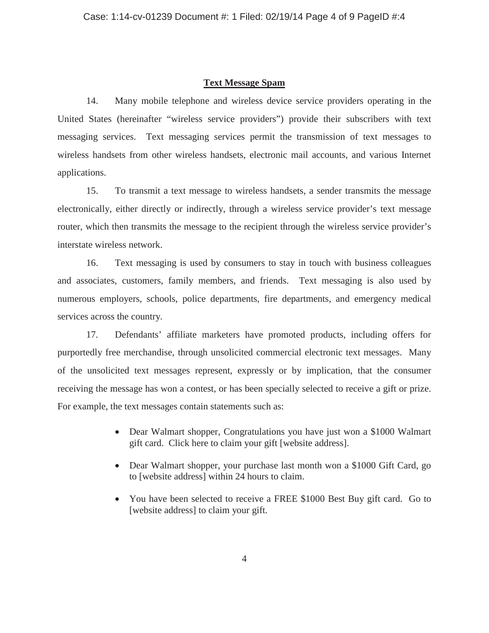## **Text Message Spam**

14. Many mobile telephone and wireless device service providers operating in the United States (hereinafter "wireless service providers") provide their subscribers with text messaging services. Text messaging services permit the transmission of text messages to wireless handsets from other wireless handsets, electronic mail accounts, and various Internet applications.

15. To transmit a text message to wireless handsets, a sender transmits the message electronically, either directly or indirectly, through a wireless service provider's text message router, which then transmits the message to the recipient through the wireless service provider's interstate wireless network.

16. Text messaging is used by consumers to stay in touch with business colleagues and associates, customers, family members, and friends. Text messaging is also used by numerous employers, schools, police departments, fire departments, and emergency medical services across the country.

17. Defendants' affiliate marketers have promoted products, including offers for purportedly free merchandise, through unsolicited commercial electronic text messages. Many of the unsolicited text messages represent, expressly or by implication, that the consumer receiving the message has won a contest, or has been specially selected to receive a gift or prize. For example, the text messages contain statements such as:

- Dear Walmart shopper, Congratulations you have just won a \$1000 Walmart gift card. Click here to claim your gift [website address].
- Dear Walmart shopper, your purchase last month won a \$1000 Gift Card, go to [website address] within 24 hours to claim.
- You have been selected to receive a FREE \$1000 Best Buy gift card. Go to [website address] to claim your gift.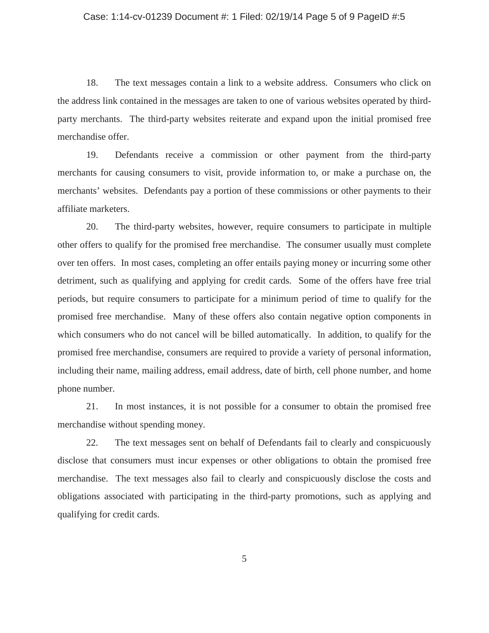#### Case: 1:14-cv-01239 Document #: 1 Filed: 02/19/14 Page 5 of 9 PageID #:5

18. The text messages contain a link to a website address. Consumers who click on the address link contained in the messages are taken to one of various websites operated by thirdparty merchants. The third-party websites reiterate and expand upon the initial promised free merchandise offer.

19. Defendants receive a commission or other payment from the third-party merchants for causing consumers to visit, provide information to, or make a purchase on, the merchants' websites. Defendants pay a portion of these commissions or other payments to their affiliate marketers.

20. The third-party websites, however, require consumers to participate in multiple other offers to qualify for the promised free merchandise. The consumer usually must complete over ten offers. In most cases, completing an offer entails paying money or incurring some other detriment, such as qualifying and applying for credit cards. Some of the offers have free trial periods, but require consumers to participate for a minimum period of time to qualify for the promised free merchandise. Many of these offers also contain negative option components in which consumers who do not cancel will be billed automatically. In addition, to qualify for the promised free merchandise, consumers are required to provide a variety of personal information, including their name, mailing address, email address, date of birth, cell phone number, and home phone number.

21. In most instances, it is not possible for a consumer to obtain the promised free merchandise without spending money.

22. The text messages sent on behalf of Defendants fail to clearly and conspicuously disclose that consumers must incur expenses or other obligations to obtain the promised free merchandise. The text messages also fail to clearly and conspicuously disclose the costs and obligations associated with participating in the third-party promotions, such as applying and qualifying for credit cards.

5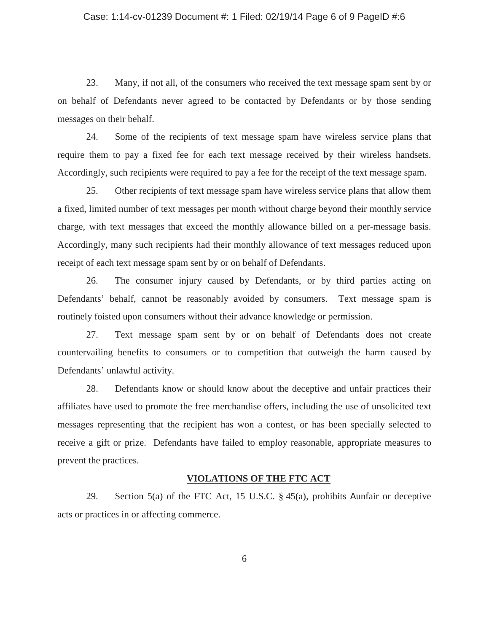#### Case: 1:14-cv-01239 Document #: 1 Filed: 02/19/14 Page 6 of 9 PageID #:6

23. Many, if not all, of the consumers who received the text message spam sent by or on behalf of Defendants never agreed to be contacted by Defendants or by those sending messages on their behalf.

24. Some of the recipients of text message spam have wireless service plans that require them to pay a fixed fee for each text message received by their wireless handsets. Accordingly, such recipients were required to pay a fee for the receipt of the text message spam.

25. Other recipients of text message spam have wireless service plans that allow them a fixed, limited number of text messages per month without charge beyond their monthly service charge, with text messages that exceed the monthly allowance billed on a per-message basis. Accordingly, many such recipients had their monthly allowance of text messages reduced upon receipt of each text message spam sent by or on behalf of Defendants.

26. The consumer injury caused by Defendants, or by third parties acting on Defendants' behalf, cannot be reasonably avoided by consumers. Text message spam is routinely foisted upon consumers without their advance knowledge or permission.

27. Text message spam sent by or on behalf of Defendants does not create countervailing benefits to consumers or to competition that outweigh the harm caused by Defendants' unlawful activity.

28. Defendants know or should know about the deceptive and unfair practices their affiliates have used to promote the free merchandise offers, including the use of unsolicited text messages representing that the recipient has won a contest, or has been specially selected to receive a gift or prize. Defendants have failed to employ reasonable, appropriate measures to prevent the practices.

## **VIOLATIONS OF THE FTC ACT**

29. Section 5(a) of the FTC Act, 15 U.S.C. § 45(a), prohibits Aunfair or deceptive acts or practices in or affecting commerce.

6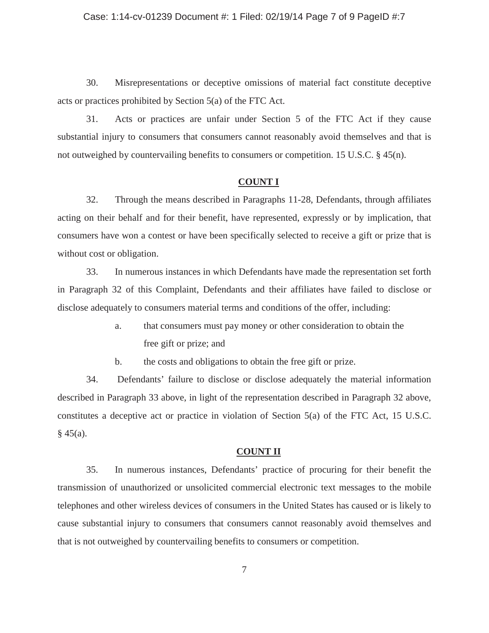#### Case: 1:14-cv-01239 Document #: 1 Filed: 02/19/14 Page 7 of 9 PageID #:7

30. Misrepresentations or deceptive omissions of material fact constitute deceptive acts or practices prohibited by Section 5(a) of the FTC Act.

31. Acts or practices are unfair under Section 5 of the FTC Act if they cause substantial injury to consumers that consumers cannot reasonably avoid themselves and that is not outweighed by countervailing benefits to consumers or competition. 15 U.S.C. § 45(n).

### **COUNT I**

32. Through the means described in Paragraphs 11-28, Defendants, through affiliates acting on their behalf and for their benefit, have represented, expressly or by implication, that consumers have won a contest or have been specifically selected to receive a gift or prize that is without cost or obligation.

33. In numerous instances in which Defendants have made the representation set forth in Paragraph 32 of this Complaint, Defendants and their affiliates have failed to disclose or disclose adequately to consumers material terms and conditions of the offer, including:

> a. that consumers must pay money or other consideration to obtain the free gift or prize; and

b. the costs and obligations to obtain the free gift or prize.

34. Defendants' failure to disclose or disclose adequately the material information described in Paragraph 33 above, in light of the representation described in Paragraph 32 above, constitutes a deceptive act or practice in violation of Section 5(a) of the FTC Act, 15 U.S.C.  $§$  45(a).

### **COUNT II**

35. In numerous instances, Defendants' practice of procuring for their benefit the transmission of unauthorized or unsolicited commercial electronic text messages to the mobile telephones and other wireless devices of consumers in the United States has caused or is likely to cause substantial injury to consumers that consumers cannot reasonably avoid themselves and that is not outweighed by countervailing benefits to consumers or competition.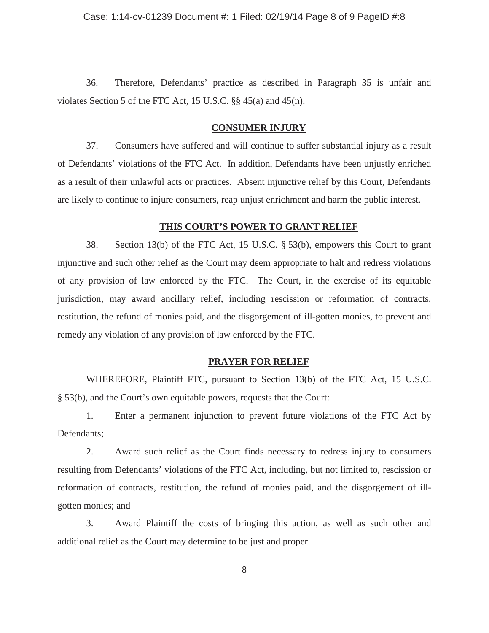36. Therefore, Defendants' practice as described in Paragraph 35 is unfair and violates Section 5 of the FTC Act, 15 U.S.C. §§ 45(a) and 45(n).

# **CONSUMER INJURY**

37. Consumers have suffered and will continue to suffer substantial injury as a result of Defendants' violations of the FTC Act. In addition, Defendants have been unjustly enriched as a result of their unlawful acts or practices. Absent injunctive relief by this Court, Defendants are likely to continue to injure consumers, reap unjust enrichment and harm the public interest.

### **THIS COURT'S POWER TO GRANT RELIEF**

38. Section 13(b) of the FTC Act, 15 U.S.C. § 53(b), empowers this Court to grant injunctive and such other relief as the Court may deem appropriate to halt and redress violations of any provision of law enforced by the FTC. The Court, in the exercise of its equitable jurisdiction, may award ancillary relief, including rescission or reformation of contracts, restitution, the refund of monies paid, and the disgorgement of ill-gotten monies, to prevent and remedy any violation of any provision of law enforced by the FTC.

### **PRAYER FOR RELIEF**

WHEREFORE, Plaintiff FTC, pursuant to Section 13(b) of the FTC Act, 15 U.S.C. § 53(b), and the Court's own equitable powers, requests that the Court:

1. Enter a permanent injunction to prevent future violations of the FTC Act by Defendants;

2. Award such relief as the Court finds necessary to redress injury to consumers resulting from Defendants' violations of the FTC Act, including, but not limited to, rescission or reformation of contracts, restitution, the refund of monies paid, and the disgorgement of illgotten monies; and

3. Award Plaintiff the costs of bringing this action, as well as such other and additional relief as the Court may determine to be just and proper.